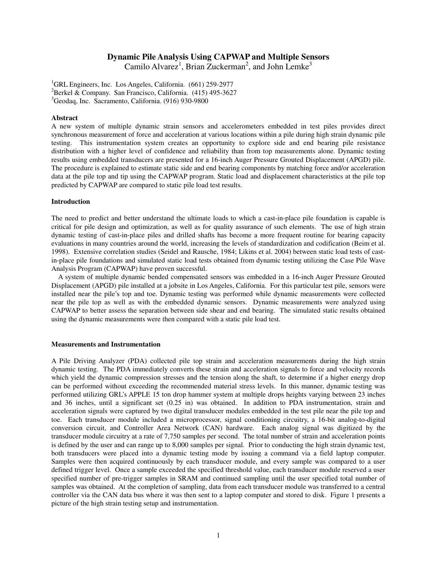# **Dynamic Pile Analysis Using CAPWAP and Multiple Sensors**

Camilo Alvarez<sup>1</sup>, Brian Zuckerman<sup>2</sup>, and John Lemke<sup>3</sup>

<sup>1</sup>GRL Engineers, Inc. Los Angeles, California.  $(661)$  259-2977<sup>2</sup> Barkel & Company, San Francisco, California.  $(415)$  405, 362 <sup>2</sup>Berkel & Company. San Francisco, California.  $(415)$  495-3627  ${}^{3}$ Geodaq, Inc. Sacramento, California. (916) 930-9800

### **Abstract**

A new system of multiple dynamic strain sensors and accelerometers embedded in test piles provides direct synchronous measurement of force and acceleration at various locations within a pile during high strain dynamic pile testing. This instrumentation system creates an opportunity to explore side and end bearing pile resistance distribution with a higher level of confidence and reliability than from top measurements alone. Dynamic testing results using embedded transducers are presented for a 16-inch Auger Pressure Grouted Displacement (APGD) pile. The procedure is explained to estimate static side and end bearing components by matching force and/or acceleration data at the pile top and tip using the CAPWAP program. Static load and displacement characteristics at the pile top predicted by CAPWAP are compared to static pile load test results.

#### **Introduction**

The need to predict and better understand the ultimate loads to which a cast-in-place pile foundation is capable is critical for pile design and optimization, as well as for quality assurance of such elements. The use of high strain dynamic testing of cast-in-place piles and drilled shafts has become a more frequent routine for bearing capacity evaluations in many countries around the world, increasing the levels of standardization and codification (Beim et al. 1998). Extensive correlation studies (Seidel and Rausche, 1984; Likins et al. 2004) between static load tests of castin-place pile foundations and simulated static load tests obtained from dynamic testing utilizing the Case Pile Wave Analysis Program (CAPWAP) have proven successful.

A system of multiple dynamic bended compensated sensors was embedded in a 16-inch Auger Pressure Grouted Displacement (APGD) pile installed at a jobsite in Los Angeles, California. For this particular test pile, sensors were installed near the pile's top and toe. Dynamic testing was performed while dynamic measurements were collected near the pile top as well as with the embedded dynamic sensors. Dynamic measurements were analyzed using CAPWAP to better assess the separation between side shear and end bearing. The simulated static results obtained using the dynamic measurements were then compared with a static pile load test.

### **Measurements and Instrumentation**

A Pile Driving Analyzer (PDA) collected pile top strain and acceleration measurements during the high strain dynamic testing. The PDA immediately converts these strain and acceleration signals to force and velocity records which yield the dynamic compression stresses and the tension along the shaft, to determine if a higher energy drop can be performed without exceeding the recommended material stress levels. In this manner, dynamic testing was performed utilizing GRL's APPLE 15 ton drop hammer system at multiple drops heights varying between 23 inches and 36 inches, until a significant set (0.25 in) was obtained. In addition to PDA instrumentation, strain and acceleration signals were captured by two digital transducer modules embedded in the test pile near the pile top and toe. Each transducer module included a microprocessor, signal conditioning circuitry, a 16-bit analog-to-digital conversion circuit, and Controller Area Network (CAN) hardware. Each analog signal was digitized by the transducer module circuitry at a rate of 7,750 samples per second. The total number of strain and acceleration points is defined by the user and can range up to 8,000 samples per signal. Prior to conducting the high strain dynamic test, both transducers were placed into a dynamic testing mode by issuing a command via a field laptop computer. Samples were then acquired continuously by each transducer module, and every sample was compared to a user defined trigger level. Once a sample exceeded the specified threshold value, each transducer module reserved a user specified number of pre-trigger samples in SRAM and continued sampling until the user specified total number of samples was obtained. At the completion of sampling, data from each transducer module was transferred to a central controller via the CAN data bus where it was then sent to a laptop computer and stored to disk. Figure 1 presents a picture of the high strain testing setup and instrumentation.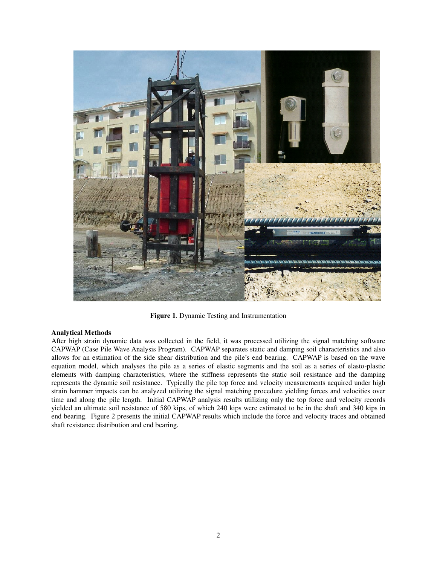

**Figure 1**. Dynamic Testing and Instrumentation

## **Analytical Methods**

After high strain dynamic data was collected in the field, it was processed utilizing the signal matching software CAPWAP (Case Pile Wave Analysis Program). CAPWAP separates static and damping soil characteristics and also allows for an estimation of the side shear distribution and the pile's end bearing. CAPWAP is based on the wave equation model, which analyses the pile as a series of elastic segments and the soil as a series of elasto-plastic elements with damping characteristics, where the stiffness represents the static soil resistance and the damping represents the dynamic soil resistance. Typically the pile top force and velocity measurements acquired under high strain hammer impacts can be analyzed utilizing the signal matching procedure yielding forces and velocities over time and along the pile length. Initial CAPWAP analysis results utilizing only the top force and velocity records yielded an ultimate soil resistance of 580 kips, of which 240 kips were estimated to be in the shaft and 340 kips in end bearing. Figure 2 presents the initial CAPWAP results which include the force and velocity traces and obtained shaft resistance distribution and end bearing.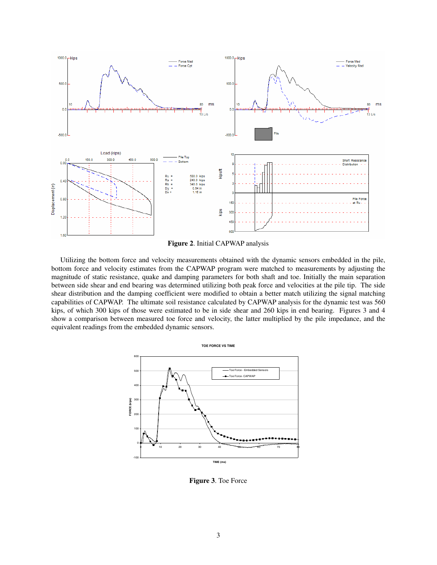



Utilizing the bottom force and velocity measurements obtained with the dynamic sensors embedded in the pile, bottom force and velocity estimates from the CAPWAP program were matched to measurements by adjusting the magnitude of static resistance, quake and damping parameters for both shaft and toe. Initially the main separation between side shear and end bearing was determined utilizing both peak force and velocities at the pile tip. The side shear distribution and the damping coefficient were modified to obtain a better match utilizing the signal matching capabilities of CAPWAP. The ultimate soil resistance calculated by CAPWAP analysis for the dynamic test was 560 kips, of which 300 kips of those were estimated to be in side shear and 260 kips in end bearing. Figures 3 and 4 show a comparison between measured toe force and velocity, the latter multiplied by the pile impedance, and the equivalent readings from the embedded dynamic sensors.



**Figure 3**. Toe Force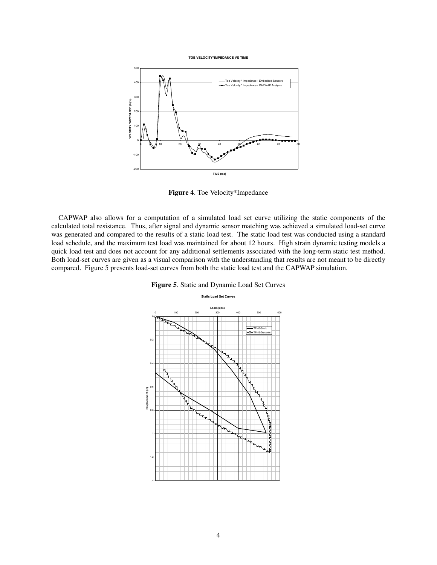**TOE VELOCITY\*IMPEDANCE VS TIME**



**Figure 4**. Toe Velocity\*Impedance

CAPWAP also allows for a computation of a simulated load set curve utilizing the static components of the calculated total resistance. Thus, after signal and dynamic sensor matching was achieved a simulated load-set curve was generated and compared to the results of a static load test. The static load test was conducted using a standard load schedule, and the maximum test load was maintained for about 12 hours. High strain dynamic testing models a quick load test and does not account for any additional settlements associated with the long-term static test method. Both load-set curves are given as a visual comparison with the understanding that results are not meant to be directly compared. Figure 5 presents load-set curves from both the static load test and the CAPWAP simulation.